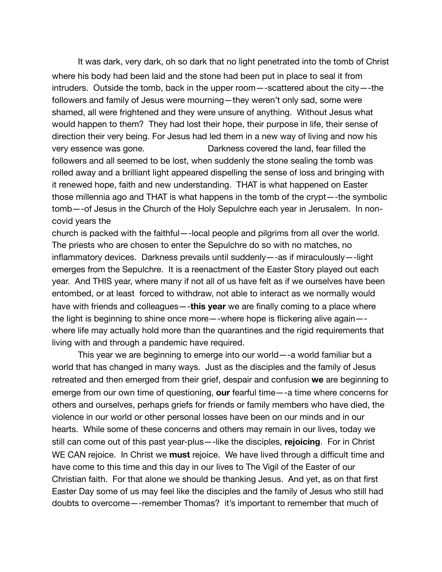It was dark, very dark, oh so dark that no light penetrated into the tomb of Christ where his body had been laid and the stone had been put in place to seal it from intruders. Outside the tomb, back in the upper room—-scattered about the city—-the followers and family of Jesus were mourning—they weren't only sad, some were shamed, all were frightened and they were unsure of anything. Without Jesus what would happen to them? They had lost their hope, their purpose in life, their sense of direction their very being. For Jesus had led them in a new way of living and now his very essence was gone. Darkness covered the land, fear filled the followers and all seemed to be lost, when suddenly the stone sealing the tomb was rolled away and a brilliant light appeared dispelling the sense of loss and bringing with it renewed hope, faith and new understanding. THAT is what happened on Easter those millennia ago and THAT is what happens in the tomb of the crypt—-the symbolic tomb—-of Jesus in the Church of the Holy Sepulchre each year in Jerusalem. In noncovid years the

church is packed with the faithful—-local people and pilgrims from all over the world. The priests who are chosen to enter the Sepulchre do so with no matches, no inflammatory devices. Darkness prevails until suddenly—-as if miraculously—-light emerges from the Sepulchre. It is a reenactment of the Easter Story played out each year. And THIS year, where many if not all of us have felt as if we ourselves have been entombed, or at least forced to withdraw, not able to interact as we normally would have with friends and colleagues—-**this year** we are finally coming to a place where the light is beginning to shine once more—-where hope is flickering alive again— where life may actually hold more than the quarantines and the rigid requirements that living with and through a pandemic have required. 

This year we are beginning to emerge into our world—-a world familiar but a world that has changed in many ways. Just as the disciples and the family of Jesus retreated and then emerged from their grief, despair and confusion **we** are beginning to emerge from our own time of questioning, **our** fearful time—-a time where concerns for others and ourselves, perhaps griefs for friends or family members who have died, the violence in our world or other personal losses have been on our minds and in our hearts. While some of these concerns and others may remain in our lives, today we still can come out of this past year-plus—-like the disciples, **rejoicing**. For in Christ WE CAN rejoice. In Christ we **must** rejoice. We have lived through a difficult time and have come to this time and this day in our lives to The Vigil of the Easter of our Christian faith. For that alone we should be thanking Jesus. And yet, as on that first Easter Day some of us may feel like the disciples and the family of Jesus who still had doubts to overcome—-remember Thomas? it's important to remember that much of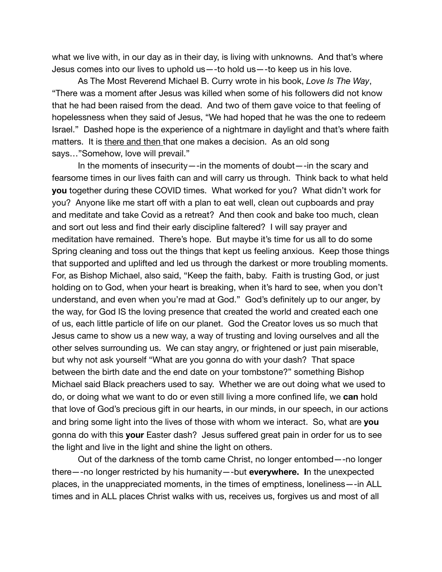what we live with, in our day as in their day, is living with unknowns. And that's where Jesus comes into our lives to uphold us—-to hold us—-to keep us in his love.

As The Most Reverend Michael B. Curry wrote in his book, *Love Is The Way*, "There was a moment after Jesus was killed when some of his followers did not know that he had been raised from the dead. And two of them gave voice to that feeling of hopelessness when they said of Jesus, "We had hoped that he was the one to redeem Israel." Dashed hope is the experience of a nightmare in daylight and that's where faith matters. It is there and then that one makes a decision. As an old song says…"Somehow, love will prevail."

In the moments of insecurity—-in the moments of doubt—-in the scary and fearsome times in our lives faith can and will carry us through. Think back to what held **you** together during these COVID times. What worked for you? What didn't work for you? Anyone like me start off with a plan to eat well, clean out cupboards and pray and meditate and take Covid as a retreat? And then cook and bake too much, clean and sort out less and find their early discipline faltered? I will say prayer and meditation have remained. There's hope. But maybe it's time for us all to do some Spring cleaning and toss out the things that kept us feeling anxious. Keep those things that supported and uplifted and led us through the darkest or more troubling moments. For, as Bishop Michael, also said, "Keep the faith, baby. Faith is trusting God, or just holding on to God, when your heart is breaking, when it's hard to see, when you don't understand, and even when you're mad at God." God's definitely up to our anger, by the way, for God IS the loving presence that created the world and created each one of us, each little particle of life on our planet. God the Creator loves us so much that Jesus came to show us a new way, a way of trusting and loving ourselves and all the other selves surrounding us. We can stay angry, or frightened or just pain miserable, but why not ask yourself "What are you gonna do with your dash? That space between the birth date and the end date on your tombstone?" something Bishop Michael said Black preachers used to say. Whether we are out doing what we used to do, or doing what we want to do or even still living a more confined life, we **can** hold that love of God's precious gift in our hearts, in our minds, in our speech, in our actions and bring some light into the lives of those with whom we interact. So, what are **you** gonna do with this **your** Easter dash? Jesus suffered great pain in order for us to see the light and live in the light and shine the light on others.

Out of the darkness of the tomb came Christ, no longer entombed—-no longer there—-no longer restricted by his humanity—-but **everywhere. I**n the unexpected places, in the unappreciated moments, in the times of emptiness, loneliness—-in ALL times and in ALL places Christ walks with us, receives us, forgives us and most of all